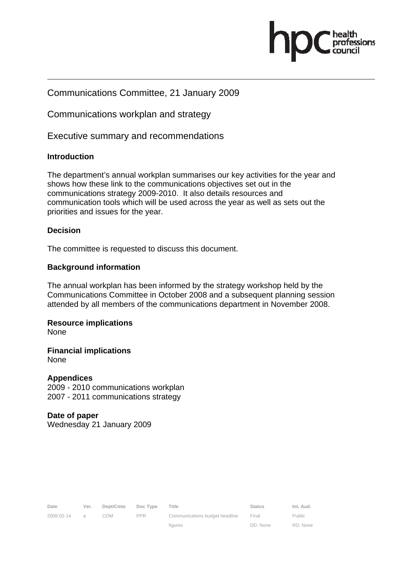

#### Communications Committee, 21 January 2009

Communications workplan and strategy

Executive summary and recommendations

#### **Introduction**

The department's annual workplan summarises our key activities for the year and shows how these link to the communications objectives set out in the communications strategy 2009-2010. It also details resources and communication tools which will be used across the year as well as sets out the priorities and issues for the year.

#### **Decision**

The committee is requested to discuss this document.

#### **Background information**

The annual workplan has been informed by the strategy workshop held by the Communications Committee in October 2008 and a subsequent planning session attended by all members of the communications department in November 2008.

## **Resource implications**

None

**Financial implications**  None

#### **Appendices**

2009 - 2010 communications workplan 2007 - 2011 communications strategy

#### **Date of paper**

Wednesday 21 January 2009

figures

DD: None

Public RD: None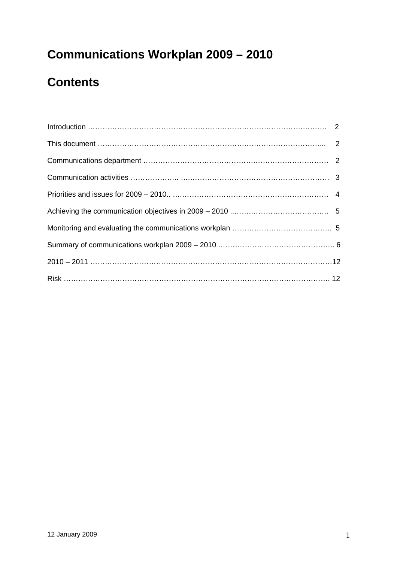# **Communications Workplan 2009 – 2010**

# **Contents**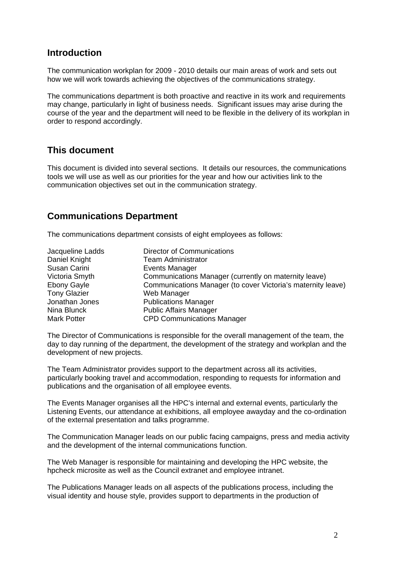#### **Introduction**

The communication workplan for 2009 - 2010 details our main areas of work and sets out how we will work towards achieving the objectives of the communications strategy.

The communications department is both proactive and reactive in its work and requirements may change, particularly in light of business needs. Significant issues may arise during the course of the year and the department will need to be flexible in the delivery of its workplan in order to respond accordingly.

#### **This document**

This document is divided into several sections. It details our resources, the communications tools we will use as well as our priorities for the year and how our activities link to the communication objectives set out in the communication strategy.

## **Communications Department**

The communications department consists of eight employees as follows:

| Jacqueline Ladds    | <b>Director of Communications</b>                            |
|---------------------|--------------------------------------------------------------|
| Daniel Knight       | <b>Team Administrator</b>                                    |
| Susan Carini        | Events Manager                                               |
| Victoria Smyth      | Communications Manager (currently on maternity leave)        |
| <b>Ebony Gayle</b>  | Communications Manager (to cover Victoria's maternity leave) |
| <b>Tony Glazier</b> | Web Manager                                                  |
| Jonathan Jones      | <b>Publications Manager</b>                                  |
| Nina Blunck         | <b>Public Affairs Manager</b>                                |
| <b>Mark Potter</b>  | <b>CPD Communications Manager</b>                            |

The Director of Communications is responsible for the overall management of the team, the day to day running of the department, the development of the strategy and workplan and the development of new projects.

The Team Administrator provides support to the department across all its activities, particularly booking travel and accommodation, responding to requests for information and publications and the organisation of all employee events.

The Events Manager organises all the HPC's internal and external events, particularly the Listening Events, our attendance at exhibitions, all employee awayday and the co-ordination of the external presentation and talks programme.

The Communication Manager leads on our public facing campaigns, press and media activity and the development of the internal communications function.

The Web Manager is responsible for maintaining and developing the HPC website, the hpcheck microsite as well as the Council extranet and employee intranet.

The Publications Manager leads on all aspects of the publications process, including the visual identity and house style, provides support to departments in the production of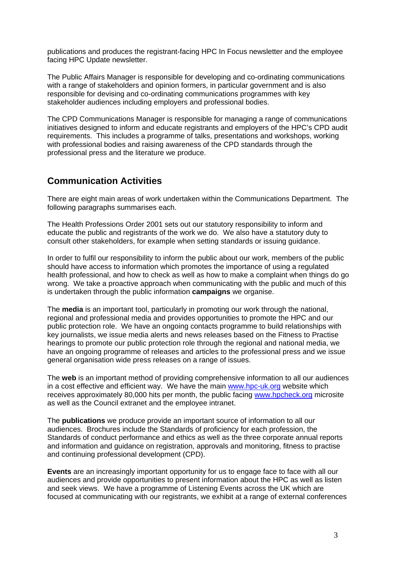publications and produces the registrant-facing HPC In Focus newsletter and the employee facing HPC Update newsletter.

The Public Affairs Manager is responsible for developing and co-ordinating communications with a range of stakeholders and opinion formers, in particular government and is also responsible for devising and co-ordinating communications programmes with key stakeholder audiences including employers and professional bodies.

The CPD Communications Manager is responsible for managing a range of communications initiatives designed to inform and educate registrants and employers of the HPC's CPD audit requirements. This includes a programme of talks, presentations and workshops, working with professional bodies and raising awareness of the CPD standards through the professional press and the literature we produce.

## **Communication Activities**

There are eight main areas of work undertaken within the Communications Department. The following paragraphs summarises each.

The Health Professions Order 2001 sets out our statutory responsibility to inform and educate the public and registrants of the work we do. We also have a statutory duty to consult other stakeholders, for example when setting standards or issuing guidance.

In order to fulfil our responsibility to inform the public about our work, members of the public should have access to information which promotes the importance of using a regulated health professional, and how to check as well as how to make a complaint when things do go wrong. We take a proactive approach when communicating with the public and much of this is undertaken through the public information **campaigns** we organise.

The **media** is an important tool, particularly in promoting our work through the national, regional and professional media and provides opportunities to promote the HPC and our public protection role. We have an ongoing contacts programme to build relationships with key journalists, we issue media alerts and news releases based on the Fitness to Practise hearings to promote our public protection role through the regional and national media, we have an ongoing programme of releases and articles to the professional press and we issue general organisation wide press releases on a range of issues.

The **web** is an important method of providing comprehensive information to all our audiences in a cost effective and efficient way. We have the main www.hpc-uk.org website which receives approximately 80,000 hits per month, the public facing www.hpcheck.org microsite as well as the Council extranet and the employee intranet.

The **publications** we produce provide an important source of information to all our audiences. Brochures include the Standards of proficiency for each profession, the Standards of conduct performance and ethics as well as the three corporate annual reports and information and guidance on registration, approvals and monitoring, fitness to practise and continuing professional development (CPD).

**Events** are an increasingly important opportunity for us to engage face to face with all our audiences and provide opportunities to present information about the HPC as well as listen and seek views. We have a programme of Listening Events across the UK which are focused at communicating with our registrants, we exhibit at a range of external conferences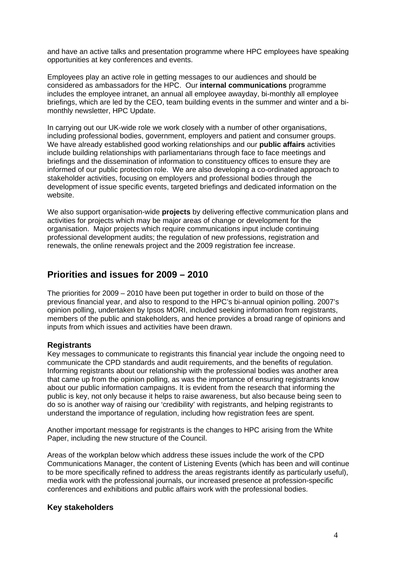and have an active talks and presentation programme where HPC employees have speaking opportunities at key conferences and events.

Employees play an active role in getting messages to our audiences and should be considered as ambassadors for the HPC. Our **internal communications** programme includes the employee intranet, an annual all employee awayday, bi-monthly all employee briefings, which are led by the CEO, team building events in the summer and winter and a bimonthly newsletter, HPC Update.

In carrying out our UK-wide role we work closely with a number of other organisations, including professional bodies, government, employers and patient and consumer groups. We have already established good working relationships and our **public affairs** activities include building relationships with parliamentarians through face to face meetings and briefings and the dissemination of information to constituency offices to ensure they are informed of our public protection role. We are also developing a co-ordinated approach to stakeholder activities, focusing on employers and professional bodies through the development of issue specific events, targeted briefings and dedicated information on the website.

We also support organisation-wide **projects** by delivering effective communication plans and activities for projects which may be major areas of change or development for the organisation. Major projects which require communications input include continuing professional development audits; the regulation of new professions, registration and renewals, the online renewals project and the 2009 registration fee increase.

#### **Priorities and issues for 2009 – 2010**

The priorities for 2009 – 2010 have been put together in order to build on those of the previous financial year, and also to respond to the HPC's bi-annual opinion polling. 2007's opinion polling, undertaken by Ipsos MORI, included seeking information from registrants, members of the public and stakeholders, and hence provides a broad range of opinions and inputs from which issues and activities have been drawn.

#### **Registrants**

Key messages to communicate to registrants this financial year include the ongoing need to communicate the CPD standards and audit requirements, and the benefits of regulation. Informing registrants about our relationship with the professional bodies was another area that came up from the opinion polling, as was the importance of ensuring registrants know about our public information campaigns. It is evident from the research that informing the public is key, not only because it helps to raise awareness, but also because being seen to do so is another way of raising our 'credibility' with registrants, and helping registrants to understand the importance of regulation, including how registration fees are spent.

Another important message for registrants is the changes to HPC arising from the White Paper, including the new structure of the Council.

Areas of the workplan below which address these issues include the work of the CPD Communications Manager, the content of Listening Events (which has been and will continue to be more specifically refined to address the areas registrants identify as particularly useful), media work with the professional journals, our increased presence at profession-specific conferences and exhibitions and public affairs work with the professional bodies.

#### **Key stakeholders**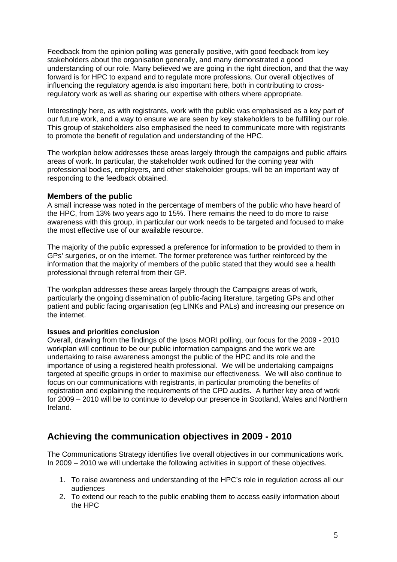Feedback from the opinion polling was generally positive, with good feedback from key stakeholders about the organisation generally, and many demonstrated a good understanding of our role. Many believed we are going in the right direction, and that the way forward is for HPC to expand and to regulate more professions. Our overall objectives of influencing the regulatory agenda is also important here, both in contributing to crossregulatory work as well as sharing our expertise with others where appropriate.

Interestingly here, as with registrants, work with the public was emphasised as a key part of our future work, and a way to ensure we are seen by key stakeholders to be fulfilling our role. This group of stakeholders also emphasised the need to communicate more with registrants to promote the benefit of regulation and understanding of the HPC.

The workplan below addresses these areas largely through the campaigns and public affairs areas of work. In particular, the stakeholder work outlined for the coming year with professional bodies, employers, and other stakeholder groups, will be an important way of responding to the feedback obtained.

#### **Members of the public**

A small increase was noted in the percentage of members of the public who have heard of the HPC, from 13% two years ago to 15%. There remains the need to do more to raise awareness with this group, in particular our work needs to be targeted and focused to make the most effective use of our available resource.

The majority of the public expressed a preference for information to be provided to them in GPs' surgeries, or on the internet. The former preference was further reinforced by the information that the majority of members of the public stated that they would see a health professional through referral from their GP.

The workplan addresses these areas largely through the Campaigns areas of work, particularly the ongoing dissemination of public-facing literature, targeting GPs and other patient and public facing organisation (eg LINKs and PALs) and increasing our presence on the internet.

#### **Issues and priorities conclusion**

Overall, drawing from the findings of the Ipsos MORI polling, our focus for the 2009 - 2010 workplan will continue to be our public information campaigns and the work we are undertaking to raise awareness amongst the public of the HPC and its role and the importance of using a registered health professional. We will be undertaking campaigns targeted at specific groups in order to maximise our effectiveness. We will also continue to focus on our communications with registrants, in particular promoting the benefits of registration and explaining the requirements of the CPD audits. A further key area of work for 2009 – 2010 will be to continue to develop our presence in Scotland, Wales and Northern Ireland.

## **Achieving the communication objectives in 2009 - 2010**

The Communications Strategy identifies five overall objectives in our communications work. In 2009 – 2010 we will undertake the following activities in support of these objectives.

- 1. To raise awareness and understanding of the HPC's role in regulation across all our audiences
- 2. To extend our reach to the public enabling them to access easily information about the HPC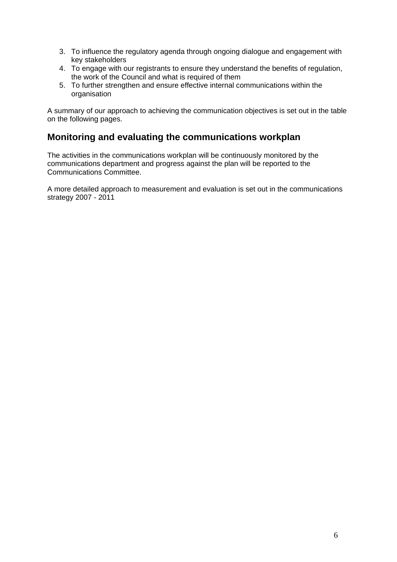- 3. To influence the regulatory agenda through ongoing dialogue and engagement with key stakeholders
- 4. To engage with our registrants to ensure they understand the benefits of regulation, the work of the Council and what is required of them
- 5. To further strengthen and ensure effective internal communications within the organisation

A summary of our approach to achieving the communication objectives is set out in the table on the following pages.

#### **Monitoring and evaluating the communications workplan**

The activities in the communications workplan will be continuously monitored by the communications department and progress against the plan will be reported to the Communications Committee.

A more detailed approach to measurement and evaluation is set out in the communications strategy 2007 - 2011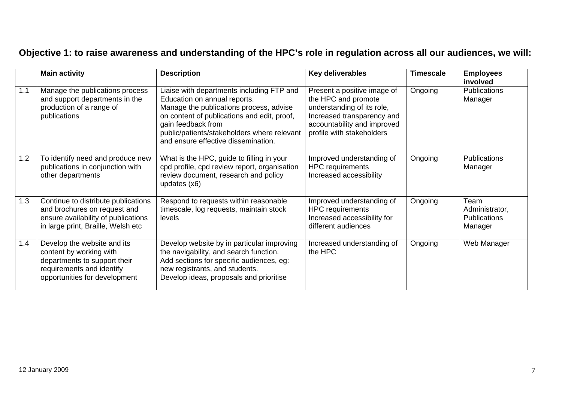# **Objective 1: to raise awareness and understanding of the HPC's role in regulation across all our audiences, we will:**

|     | <b>Main activity</b>                                                                                                                                 | <b>Description</b>                                                                                                                                                                                                                                                              | <b>Key deliverables</b>                                                                                                                                                    | <b>Timescale</b> | <b>Employees</b><br>involved                             |
|-----|------------------------------------------------------------------------------------------------------------------------------------------------------|---------------------------------------------------------------------------------------------------------------------------------------------------------------------------------------------------------------------------------------------------------------------------------|----------------------------------------------------------------------------------------------------------------------------------------------------------------------------|------------------|----------------------------------------------------------|
| 1.1 | Manage the publications process<br>and support departments in the<br>production of a range of<br>publications                                        | Liaise with departments including FTP and<br>Education on annual reports.<br>Manage the publications process, advise<br>on content of publications and edit, proof,<br>gain feedback from<br>public/patients/stakeholders where relevant<br>and ensure effective dissemination. | Present a positive image of<br>the HPC and promote<br>understanding of its role,<br>Increased transparency and<br>accountability and improved<br>profile with stakeholders | Ongoing          | <b>Publications</b><br>Manager                           |
| 1.2 | To identify need and produce new<br>publications in conjunction with<br>other departments                                                            | What is the HPC, guide to filling in your<br>cpd profile, cpd review report, organisation<br>review document, research and policy<br>updates (x6)                                                                                                                               | Improved understanding of<br><b>HPC</b> requirements<br>Increased accessibility                                                                                            | Ongoing          | <b>Publications</b><br>Manager                           |
| 1.3 | Continue to distribute publications<br>and brochures on request and<br>ensure availability of publications<br>in large print, Braille, Welsh etc     | Respond to requests within reasonable<br>timescale, log requests, maintain stock<br>levels                                                                                                                                                                                      | Improved understanding of<br><b>HPC</b> requirements<br>Increased accessibility for<br>different audiences                                                                 | Ongoing          | Team<br>Administrator,<br><b>Publications</b><br>Manager |
| 1.4 | Develop the website and its<br>content by working with<br>departments to support their<br>requirements and identify<br>opportunities for development | Develop website by in particular improving<br>the navigability, and search function.<br>Add sections for specific audiences, eg:<br>new registrants, and students.<br>Develop ideas, proposals and prioritise                                                                   | Increased understanding of<br>the HPC                                                                                                                                      | Ongoing          | Web Manager                                              |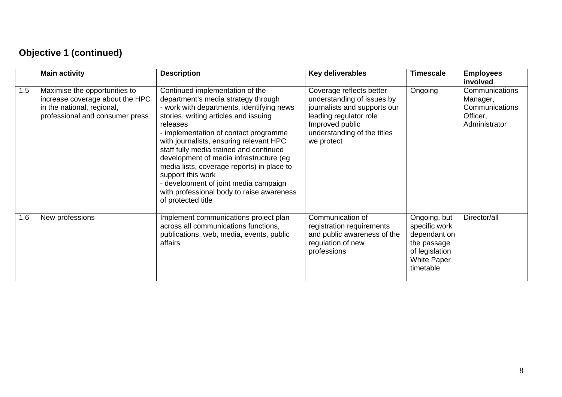# **Objective 1 (continued)**

|     | <b>Main activity</b>                                                                                                              | <b>Description</b>                                                                                                                                                                                                                                                                                                                                                                                                                                                                                                                | Key deliverables                                                                                                                                                                 | <b>Timescale</b>                                                                                                  | <b>Employees</b><br>involved                                              |
|-----|-----------------------------------------------------------------------------------------------------------------------------------|-----------------------------------------------------------------------------------------------------------------------------------------------------------------------------------------------------------------------------------------------------------------------------------------------------------------------------------------------------------------------------------------------------------------------------------------------------------------------------------------------------------------------------------|----------------------------------------------------------------------------------------------------------------------------------------------------------------------------------|-------------------------------------------------------------------------------------------------------------------|---------------------------------------------------------------------------|
| 1.5 | Maximise the opportunities to<br>increase coverage about the HPC<br>in the national, regional,<br>professional and consumer press | Continued implementation of the<br>department's media strategy through<br>- work with departments, identifying news<br>stories, writing articles and issuing<br>releases<br>- implementation of contact programme<br>with journalists, ensuring relevant HPC<br>staff fully media trained and continued<br>development of media infrastructure (eg<br>media lists, coverage reports) in place to<br>support this work<br>- development of joint media campaign<br>with professional body to raise awareness<br>of protected title | Coverage reflects better<br>understanding of issues by<br>journalists and supports our<br>leading regulator role<br>Improved public<br>understanding of the titles<br>we protect | Ongoing                                                                                                           | Communications<br>Manager,<br>Communications<br>Officer,<br>Administrator |
| 1.6 | New professions                                                                                                                   | Implement communications project plan<br>across all communications functions,<br>publications, web, media, events, public<br>affairs                                                                                                                                                                                                                                                                                                                                                                                              | Communication of<br>registration requirements<br>and public awareness of the<br>regulation of new<br>professions                                                                 | Ongoing, but<br>specific work<br>dependant on<br>the passage<br>of legislation<br><b>White Paper</b><br>timetable | Director/all                                                              |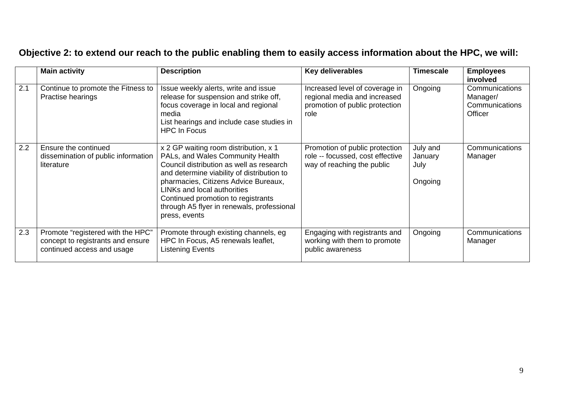# **Objective 2: to extend our reach to the public enabling them to easily access information about the HPC, we will:**

|     | <b>Main activity</b>                                                                                 | <b>Description</b>                                                                                                                                                                                                                                                                                                                              | Key deliverables                                                                                         | <b>Timescale</b>                       | <b>Employees</b><br>involved                            |
|-----|------------------------------------------------------------------------------------------------------|-------------------------------------------------------------------------------------------------------------------------------------------------------------------------------------------------------------------------------------------------------------------------------------------------------------------------------------------------|----------------------------------------------------------------------------------------------------------|----------------------------------------|---------------------------------------------------------|
| 2.1 | Continue to promote the Fitness to<br>Practise hearings                                              | Issue weekly alerts, write and issue<br>release for suspension and strike off,<br>focus coverage in local and regional<br>media<br>List hearings and include case studies in<br><b>HPC In Focus</b>                                                                                                                                             | Increased level of coverage in<br>regional media and increased<br>promotion of public protection<br>role | Ongoing                                | Communications<br>Manager/<br>Communications<br>Officer |
| 2.2 | Ensure the continued<br>dissemination of public information<br>literature                            | x 2 GP waiting room distribution, x 1<br>PALs, and Wales Community Health<br>Council distribution as well as research<br>and determine viability of distribution to<br>pharmacies, Citizens Advice Bureaux,<br>LINKs and local authorities<br>Continued promotion to registrants<br>through A5 flyer in renewals, professional<br>press, events | Promotion of public protection<br>role -- focussed, cost effective<br>way of reaching the public         | July and<br>January<br>July<br>Ongoing | Communications<br>Manager                               |
| 2.3 | Promote "registered with the HPC"<br>concept to registrants and ensure<br>continued access and usage | Promote through existing channels, eg<br>HPC In Focus, A5 renewals leaflet,<br><b>Listening Events</b>                                                                                                                                                                                                                                          | Engaging with registrants and<br>working with them to promote<br>public awareness                        | Ongoing                                | Communications<br>Manager                               |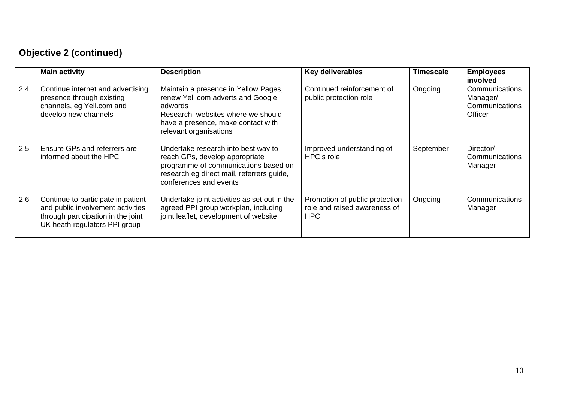# **Objective 2 (continued)**

|     | <b>Main activity</b>                                                                                                                           | <b>Description</b>                                                                                                                                                                        | <b>Key deliverables</b>                                                      | <b>Timescale</b> | <b>Employees</b><br>involved                                   |
|-----|------------------------------------------------------------------------------------------------------------------------------------------------|-------------------------------------------------------------------------------------------------------------------------------------------------------------------------------------------|------------------------------------------------------------------------------|------------------|----------------------------------------------------------------|
| 2.4 | Continue internet and advertising<br>presence through existing<br>channels, eg Yell.com and<br>develop new channels                            | Maintain a presence in Yellow Pages,<br>renew Yell.com adverts and Google<br>adwords<br>Research websites where we should<br>have a presence, make contact with<br>relevant organisations | Continued reinforcement of<br>public protection role                         | Ongoing          | Communications<br>Manager/<br>Communications<br><b>Officer</b> |
| 2.5 | Ensure GPs and referrers are<br>informed about the HPC                                                                                         | Undertake research into best way to<br>reach GPs, develop appropriate<br>programme of communications based on<br>research eg direct mail, referrers guide,<br>conferences and events      | Improved understanding of<br>HPC's role                                      | September        | Director/<br>Communications<br>Manager                         |
| 2.6 | Continue to participate in patient<br>and public involvement activities<br>through participation in the joint<br>UK heath regulators PPI group | Undertake joint activities as set out in the<br>agreed PPI group workplan, including<br>joint leaflet, development of website                                                             | Promotion of public protection<br>role and raised awareness of<br><b>HPC</b> | Ongoing          | Communications<br>Manager                                      |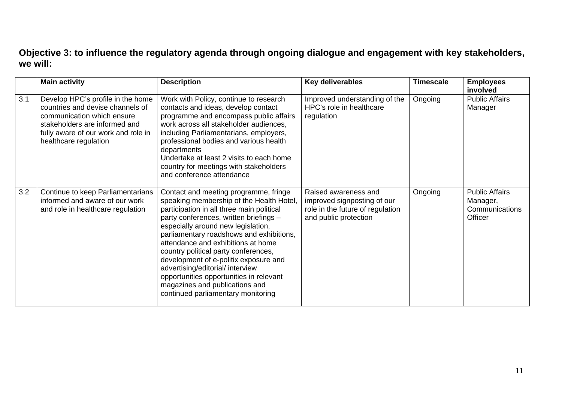## **Objective 3: to influence the regulatory agenda through ongoing dialogue and engagement with key stakeholders, we will:**

|     | <b>Main activity</b>                                                                                                                                                                                 | <b>Description</b>                                                                                                                                                                                                                                                                                                                                                                                                                                                                                                                       | Key deliverables                                                                                                 | <b>Timescale</b> | <b>Employees</b><br>involved                                          |
|-----|------------------------------------------------------------------------------------------------------------------------------------------------------------------------------------------------------|------------------------------------------------------------------------------------------------------------------------------------------------------------------------------------------------------------------------------------------------------------------------------------------------------------------------------------------------------------------------------------------------------------------------------------------------------------------------------------------------------------------------------------------|------------------------------------------------------------------------------------------------------------------|------------------|-----------------------------------------------------------------------|
| 3.1 | Develop HPC's profile in the home<br>countries and devise channels of<br>communication which ensure<br>stakeholders are informed and<br>fully aware of our work and role in<br>healthcare regulation | Work with Policy, continue to research<br>contacts and ideas, develop contact<br>programme and encompass public affairs<br>work across all stakeholder audiences,<br>including Parliamentarians, employers,<br>professional bodies and various health<br>departments<br>Undertake at least 2 visits to each home<br>country for meetings with stakeholders<br>and conference attendance                                                                                                                                                  | Improved understanding of the<br>HPC's role in healthcare<br>regulation                                          | Ongoing          | <b>Public Affairs</b><br>Manager                                      |
| 3.2 | Continue to keep Parliamentarians<br>informed and aware of our work<br>and role in healthcare regulation                                                                                             | Contact and meeting programme, fringe<br>speaking membership of the Health Hotel,<br>participation in all three main political<br>party conferences, written briefings -<br>especially around new legislation,<br>parliamentary roadshows and exhibitions,<br>attendance and exhibitions at home<br>country political party conferences,<br>development of e-politix exposure and<br>advertising/editorial/ interview<br>opportunities opportunities in relevant<br>magazines and publications and<br>continued parliamentary monitoring | Raised awareness and<br>improved signposting of our<br>role in the future of regulation<br>and public protection | Ongoing          | <b>Public Affairs</b><br>Manager,<br>Communications<br><b>Officer</b> |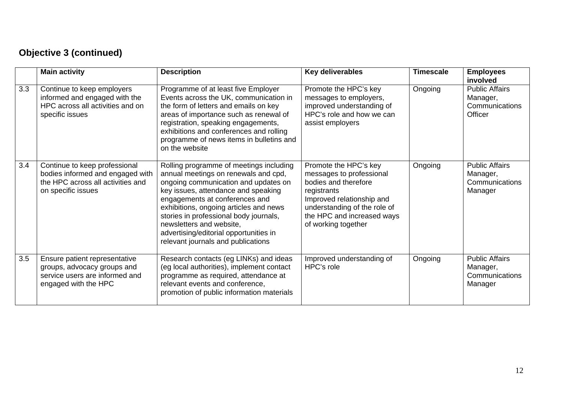# **Objective 3 (continued)**

|     | <b>Main activity</b>                                                                                                         | <b>Description</b>                                                                                                                                                                                                                                                                                                                                                                               | Key deliverables                                                                                                                                                                                           | <b>Timescale</b> | <b>Employees</b><br>involved                                   |
|-----|------------------------------------------------------------------------------------------------------------------------------|--------------------------------------------------------------------------------------------------------------------------------------------------------------------------------------------------------------------------------------------------------------------------------------------------------------------------------------------------------------------------------------------------|------------------------------------------------------------------------------------------------------------------------------------------------------------------------------------------------------------|------------------|----------------------------------------------------------------|
| 3.3 | Continue to keep employers<br>informed and engaged with the<br>HPC across all activities and on<br>specific issues           | Programme of at least five Employer<br>Events across the UK, communication in<br>the form of letters and emails on key<br>areas of importance such as renewal of<br>registration, speaking engagements,<br>exhibitions and conferences and rolling<br>programme of news items in bulletins and<br>on the website                                                                                 | Promote the HPC's key<br>messages to employers,<br>improved understanding of<br>HPC's role and how we can<br>assist employers                                                                              | Ongoing          | <b>Public Affairs</b><br>Manager,<br>Communications<br>Officer |
| 3.4 | Continue to keep professional<br>bodies informed and engaged with<br>the HPC across all activities and<br>on specific issues | Rolling programme of meetings including<br>annual meetings on renewals and cpd,<br>ongoing communication and updates on<br>key issues, attendance and speaking<br>engagements at conferences and<br>exhibitions, ongoing articles and news<br>stories in professional body journals,<br>newsletters and website,<br>advertising/editorial opportunities in<br>relevant journals and publications | Promote the HPC's key<br>messages to professional<br>bodies and therefore<br>registrants<br>Improved relationship and<br>understanding of the role of<br>the HPC and increased ways<br>of working together | Ongoing          | <b>Public Affairs</b><br>Manager,<br>Communications<br>Manager |
| 3.5 | Ensure patient representative<br>groups, advocacy groups and<br>service users are informed and<br>engaged with the HPC       | Research contacts (eg LINKs) and ideas<br>(eg local authorities), implement contact<br>programme as required, attendance at<br>relevant events and conference,<br>promotion of public information materials                                                                                                                                                                                      | Improved understanding of<br>HPC's role                                                                                                                                                                    | Ongoing          | <b>Public Affairs</b><br>Manager,<br>Communications<br>Manager |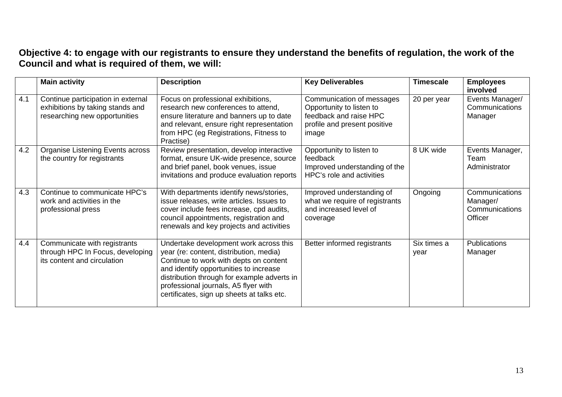#### **Objective 4: to engage with our registrants to ensure they understand the benefits of regulation, the work of the Council and what is required of them, we will:**

|     | <b>Main activity</b>                                                                                    | <b>Description</b>                                                                                                                                                                                                                                                                                         | <b>Key Deliverables</b>                                                                                                  | <b>Timescale</b>    | <b>Employees</b><br>involved                            |
|-----|---------------------------------------------------------------------------------------------------------|------------------------------------------------------------------------------------------------------------------------------------------------------------------------------------------------------------------------------------------------------------------------------------------------------------|--------------------------------------------------------------------------------------------------------------------------|---------------------|---------------------------------------------------------|
| 4.1 | Continue participation in external<br>exhibitions by taking stands and<br>researching new opportunities | Focus on professional exhibitions,<br>research new conferences to attend,<br>ensure literature and banners up to date<br>and relevant, ensure right representation<br>from HPC (eg Registrations, Fitness to<br>Practise)                                                                                  | Communication of messages<br>Opportunity to listen to<br>feedback and raise HPC<br>profile and present positive<br>image | 20 per year         | Events Manager/<br>Communications<br>Manager            |
| 4.2 | Organise Listening Events across<br>the country for registrants                                         | Review presentation, develop interactive<br>format, ensure UK-wide presence, source<br>and brief panel, book venues, issue<br>invitations and produce evaluation reports                                                                                                                                   | Opportunity to listen to<br>feedback<br>Improved understanding of the<br>HPC's role and activities                       | 8 UK wide           | Events Manager,<br>Team<br>Administrator                |
| 4.3 | Continue to communicate HPC's<br>work and activities in the<br>professional press                       | With departments identify news/stories,<br>issue releases, write articles. Issues to<br>cover include fees increase, cpd audits,<br>council appointments, registration and<br>renewals and key projects and activities                                                                                     | Improved understanding of<br>what we require of registrants<br>and increased level of<br>coverage                        | Ongoing             | Communications<br>Manager/<br>Communications<br>Officer |
| 4.4 | Communicate with registrants<br>through HPC In Focus, developing<br>its content and circulation         | Undertake development work across this<br>year (re: content, distribution, media)<br>Continue to work with depts on content<br>and identify opportunities to increase<br>distribution through for example adverts in<br>professional journals, A5 flyer with<br>certificates, sign up sheets at talks etc. | Better informed registrants                                                                                              | Six times a<br>year | Publications<br>Manager                                 |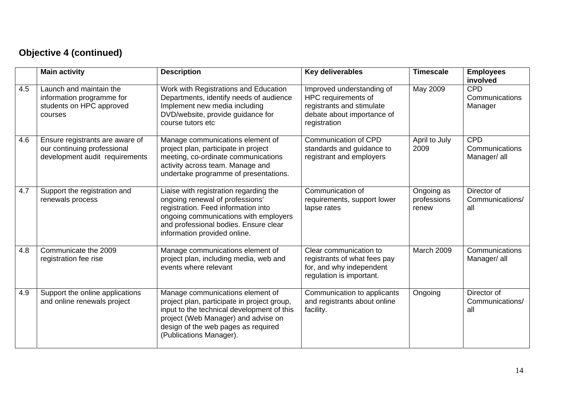# **Objective 4 (continued)**

|     | <b>Main activity</b>                                                                             | <b>Description</b>                                                                                                                                                                                                                     | Key deliverables                                                                                                            | <b>Timescale</b>                   | <b>Employees</b><br>involved                 |
|-----|--------------------------------------------------------------------------------------------------|----------------------------------------------------------------------------------------------------------------------------------------------------------------------------------------------------------------------------------------|-----------------------------------------------------------------------------------------------------------------------------|------------------------------------|----------------------------------------------|
| 4.5 | Launch and maintain the<br>information programme for<br>students on HPC approved<br>courses      | Work with Registrations and Education<br>Departments, identify needs of audience<br>Implement new media including<br>DVD/website, provide guidance for<br>course tutors etc                                                            | Improved understanding of<br>HPC requirements of<br>registrants and stimulate<br>debate about importance of<br>registration | May 2009                           | <b>CPD</b><br>Communications<br>Manager      |
| 4.6 | Ensure registrants are aware of<br>our continuing professional<br>development audit requirements | Manage communications element of<br>project plan, participate in project<br>meeting, co-ordinate communications<br>activity across team. Manage and<br>undertake programme of presentations.                                           | Communication of CPD<br>standards and guidance to<br>registrant and employers                                               | April to July<br>2009              | <b>CPD</b><br>Communications<br>Manager/ all |
| 4.7 | Support the registration and<br>renewals process                                                 | Liaise with registration regarding the<br>ongoing renewal of professions'<br>registration. Feed information into<br>ongoing communications with employers<br>and professional bodies. Ensure clear<br>information provided online.     | Communication of<br>requirements, support lower<br>lapse rates                                                              | Ongoing as<br>professions<br>renew | Director of<br>Communications/<br>all        |
| 4.8 | Communicate the 2009<br>registration fee rise                                                    | Manage communications element of<br>project plan, including media, web and<br>events where relevant                                                                                                                                    | Clear communication to<br>registrants of what fees pay<br>for, and why independent<br>regulation is important.              | March 2009                         | Communications<br>Manager/ all               |
| 4.9 | Support the online applications<br>and online renewals project                                   | Manage communications element of<br>project plan, participate in project group,<br>input to the technical development of this<br>project (Web Manager) and advise on<br>design of the web pages as required<br>(Publications Manager). | Communication to applicants<br>and registrants about online<br>facility.                                                    | Ongoing                            | Director of<br>Communications/<br>all        |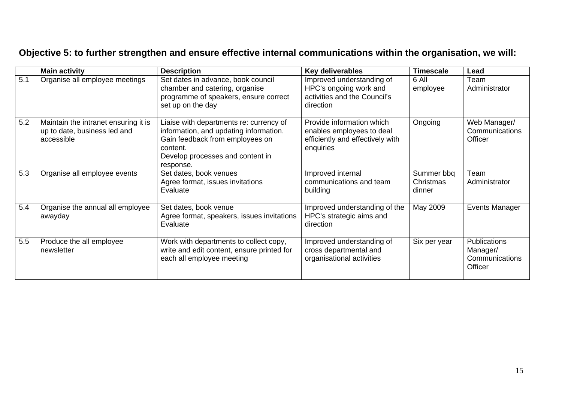# **Objective 5: to further strengthen and ensure effective internal communications within the organisation, we will:**

|     | <b>Main activity</b>                                                               | <b>Description</b>                                                                                                                                                                | Key deliverables                                                                                        | <b>Timescale</b>                  | Lead                                                         |
|-----|------------------------------------------------------------------------------------|-----------------------------------------------------------------------------------------------------------------------------------------------------------------------------------|---------------------------------------------------------------------------------------------------------|-----------------------------------|--------------------------------------------------------------|
| 5.1 | Organise all employee meetings                                                     | Set dates in advance, book council<br>chamber and catering, organise<br>programme of speakers, ensure correct<br>set up on the day                                                | Improved understanding of<br>HPC's ongoing work and<br>activities and the Council's<br>direction        | 6 All<br>employee                 | Team<br>Administrator                                        |
| 5.2 | Maintain the intranet ensuring it is<br>up to date, business led and<br>accessible | Liaise with departments re: currency of<br>information, and updating information.<br>Gain feedback from employees on<br>content.<br>Develop processes and content in<br>response. | Provide information which<br>enables employees to deal<br>efficiently and effectively with<br>enquiries | Ongoing                           | Web Manager/<br>Communications<br>Officer                    |
| 5.3 | Organise all employee events                                                       | Set dates, book venues<br>Agree format, issues invitations<br>Evaluate                                                                                                            | Improved internal<br>communications and team<br>building                                                | Summer bbq<br>Christmas<br>dinner | Team<br>Administrator                                        |
| 5.4 | Organise the annual all employee<br>awayday                                        | Set dates, book venue<br>Agree format, speakers, issues invitations<br>Evaluate                                                                                                   | Improved understanding of the<br>HPC's strategic aims and<br>direction                                  | May 2009                          | Events Manager                                               |
| 5.5 | Produce the all employee<br>newsletter                                             | Work with departments to collect copy,<br>write and edit content, ensure printed for<br>each all employee meeting                                                                 | Improved understanding of<br>cross departmental and<br>organisational activities                        | Six per year                      | <b>Publications</b><br>Manager/<br>Communications<br>Officer |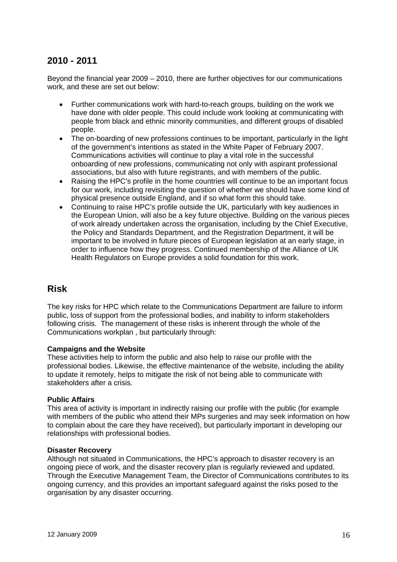## **2010 - 2011**

Beyond the financial year 2009 – 2010, there are further objectives for our communications work, and these are set out below:

- Further communications work with hard-to-reach groups, building on the work we have done with older people. This could include work looking at communicating with people from black and ethnic minority communities, and different groups of disabled people.
- The on-boarding of new professions continues to be important, particularly in the light of the government's intentions as stated in the White Paper of February 2007. Communications activities will continue to play a vital role in the successful onboarding of new professions, communicating not only with aspirant professional associations, but also with future registrants, and with members of the public.
- Raising the HPC's profile in the home countries will continue to be an important focus for our work, including revisiting the question of whether we should have some kind of physical presence outside England, and if so what form this should take.
- Continuing to raise HPC's profile outside the UK, particularly with key audiences in the European Union, will also be a key future objective. Building on the various pieces of work already undertaken across the organisation, including by the Chief Executive, the Policy and Standards Department, and the Registration Department, it will be important to be involved in future pieces of European legislation at an early stage, in order to influence how they progress. Continued membership of the Alliance of UK Health Regulators on Europe provides a solid foundation for this work.

#### **Risk**

The key risks for HPC which relate to the Communications Department are failure to inform public, loss of support from the professional bodies, and inability to inform stakeholders following crisis. The management of these risks is inherent through the whole of the Communications workplan , but particularly through:

#### **Campaigns and the Website**

These activities help to inform the public and also help to raise our profile with the professional bodies. Likewise, the effective maintenance of the website, including the ability to update it remotely, helps to mitigate the risk of not being able to communicate with stakeholders after a crisis.

#### **Public Affairs**

This area of activity is important in indirectly raising our profile with the public (for example with members of the public who attend their MPs surgeries and may seek information on how to complain about the care they have received), but particularly important in developing our relationships with professional bodies.

#### **Disaster Recovery**

Although not situated in Communications, the HPC's approach to disaster recovery is an ongoing piece of work, and the disaster recovery plan is regularly reviewed and updated. Through the Executive Management Team, the Director of Communications contributes to its ongoing currency, and this provides an important safeguard against the risks posed to the organisation by any disaster occurring.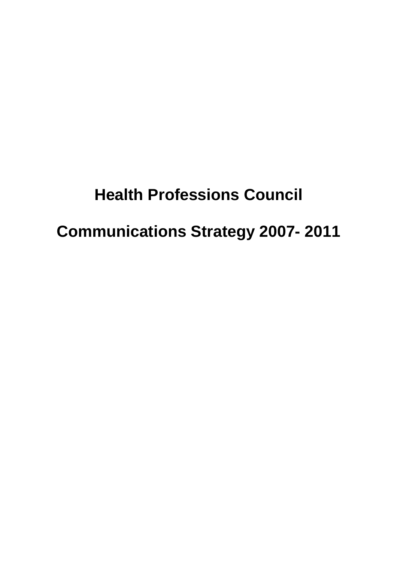# **Health Professions Council Communications Strategy 2007- 2011**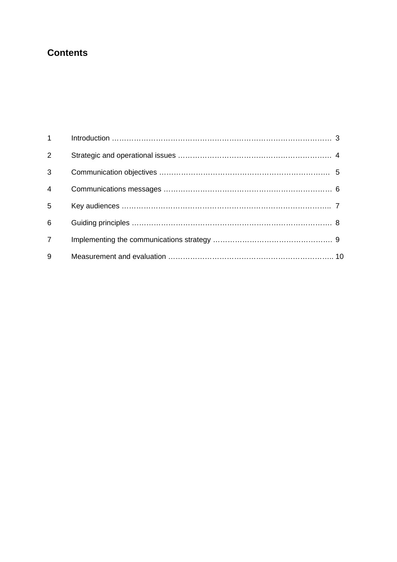## **Contents**

| $1 \quad \blacksquare$ |  |
|------------------------|--|
| 2                      |  |
| 3                      |  |
| $\overline{4}$         |  |
| 5                      |  |
| 6                      |  |
| $\overline{7}$         |  |
| 9                      |  |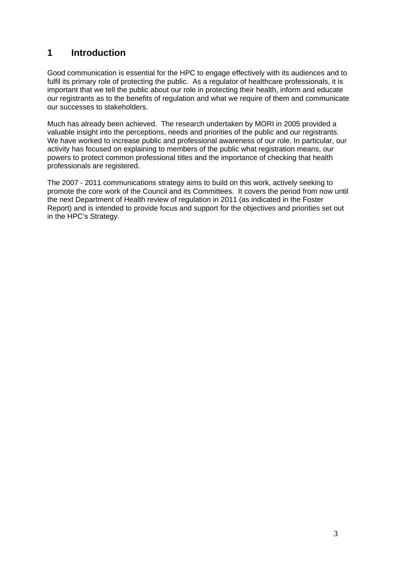## **1 Introduction**

Good communication is essential for the HPC to engage effectively with its audiences and to fulfil its primary role of protecting the public. As a regulator of healthcare professionals, it is important that we tell the public about our role in protecting their health, inform and educate our registrants as to the benefits of regulation and what we require of them and communicate our successes to stakeholders.

Much has already been achieved. The research undertaken by MORI in 2005 provided a valuable insight into the perceptions, needs and priorities of the public and our registrants. We have worked to increase public and professional awareness of our role. In particular, our activity has focused on explaining to members of the public what registration means, our powers to protect common professional titles and the importance of checking that health professionals are registered.

The 2007 - 2011 communications strategy aims to build on this work, actively seeking to promote the core work of the Council and its Committees. It covers the period from now until the next Department of Health review of regulation in 2011 (as indicated in the Foster Report) and is intended to provide focus and support for the objectives and priorities set out in the HPC's Strategy.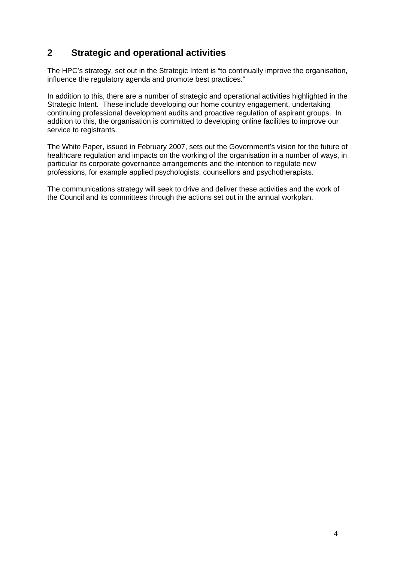## **2 Strategic and operational activities**

The HPC's strategy, set out in the Strategic Intent is "to continually improve the organisation, influence the regulatory agenda and promote best practices."

In addition to this, there are a number of strategic and operational activities highlighted in the Strategic Intent. These include developing our home country engagement, undertaking continuing professional development audits and proactive regulation of aspirant groups. In addition to this, the organisation is committed to developing online facilities to improve our service to registrants.

The White Paper, issued in February 2007, sets out the Government's vision for the future of healthcare regulation and impacts on the working of the organisation in a number of ways, in particular its corporate governance arrangements and the intention to regulate new professions, for example applied psychologists, counsellors and psychotherapists.

The communications strategy will seek to drive and deliver these activities and the work of the Council and its committees through the actions set out in the annual workplan.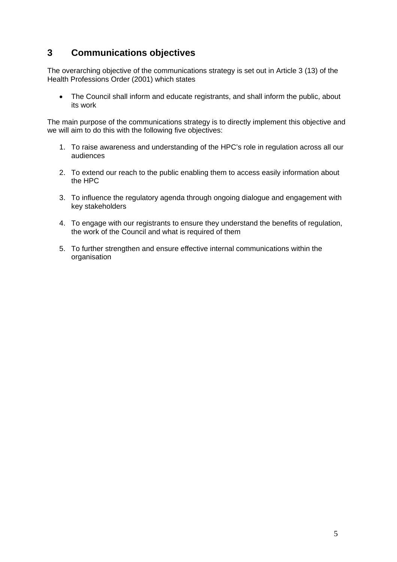## **3 Communications objectives**

The overarching objective of the communications strategy is set out in Article 3 (13) of the Health Professions Order (2001) which states

• The Council shall inform and educate registrants, and shall inform the public, about its work

The main purpose of the communications strategy is to directly implement this objective and we will aim to do this with the following five objectives:

- 1. To raise awareness and understanding of the HPC's role in regulation across all our audiences
- 2. To extend our reach to the public enabling them to access easily information about the HPC
- 3. To influence the regulatory agenda through ongoing dialogue and engagement with key stakeholders
- 4. To engage with our registrants to ensure they understand the benefits of regulation, the work of the Council and what is required of them
- 5. To further strengthen and ensure effective internal communications within the organisation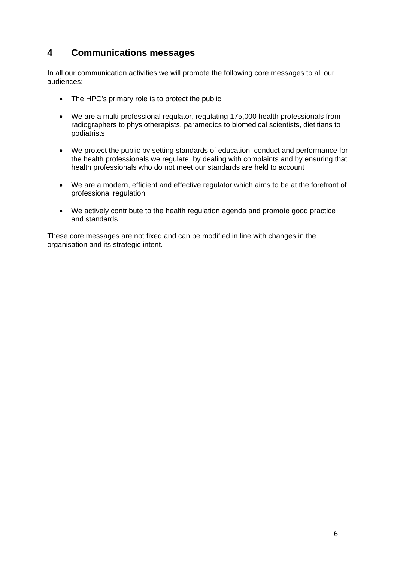## **4 Communications messages**

In all our communication activities we will promote the following core messages to all our audiences:

- The HPC's primary role is to protect the public
- We are a multi-professional regulator, regulating 175,000 health professionals from radiographers to physiotherapists, paramedics to biomedical scientists, dietitians to podiatrists
- We protect the public by setting standards of education, conduct and performance for the health professionals we regulate, by dealing with complaints and by ensuring that health professionals who do not meet our standards are held to account
- We are a modern, efficient and effective regulator which aims to be at the forefront of professional regulation
- We actively contribute to the health regulation agenda and promote good practice and standards

These core messages are not fixed and can be modified in line with changes in the organisation and its strategic intent.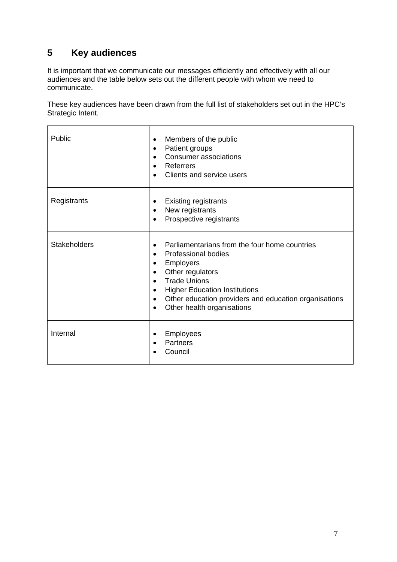## **5 Key audiences**

 $\blacksquare$ 

It is important that we communicate our messages efficiently and effectively with all our audiences and the table below sets out the different people with whom we need to communicate.

 $\overline{\phantom{a}}$ 

These key audiences have been drawn from the full list of stakeholders set out in the HPC's Strategic Intent.

| Public              | Members of the public<br>٠<br>Patient groups<br>$\bullet$<br><b>Consumer associations</b><br>$\bullet$<br>Referrers<br>$\bullet$<br>Clients and service users<br>$\bullet$                                                                                                                                                                                                 |
|---------------------|----------------------------------------------------------------------------------------------------------------------------------------------------------------------------------------------------------------------------------------------------------------------------------------------------------------------------------------------------------------------------|
| Registrants         | <b>Existing registrants</b><br>٠<br>New registrants<br>$\bullet$<br>Prospective registrants<br>$\bullet$                                                                                                                                                                                                                                                                   |
| <b>Stakeholders</b> | Parliamentarians from the four home countries<br>$\bullet$<br>Professional bodies<br>$\bullet$<br><b>Employers</b><br>$\bullet$<br>Other regulators<br>$\bullet$<br><b>Trade Unions</b><br>$\bullet$<br><b>Higher Education Institutions</b><br>$\bullet$<br>Other education providers and education organisations<br>$\bullet$<br>Other health organisations<br>$\bullet$ |
| Internal            | <b>Employees</b><br>٠<br><b>Partners</b><br>Council                                                                                                                                                                                                                                                                                                                        |

٦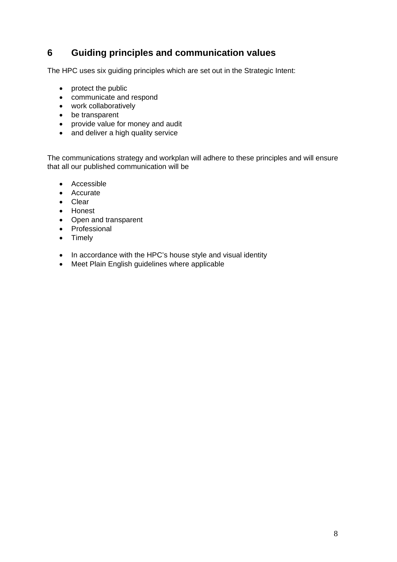## **6 Guiding principles and communication values**

The HPC uses six guiding principles which are set out in the Strategic Intent:

- protect the public
- communicate and respond
- work collaboratively
- be transparent
- provide value for money and audit
- and deliver a high quality service

The communications strategy and workplan will adhere to these principles and will ensure that all our published communication will be

- Accessible
- Accurate
- Clear
- Honest
- Open and transparent
- Professional
- Timely
- In accordance with the HPC's house style and visual identity
- Meet Plain English guidelines where applicable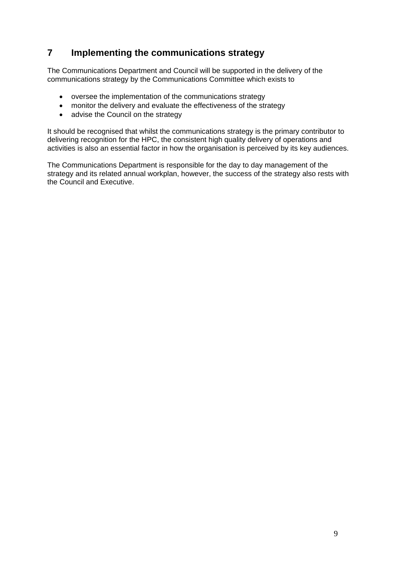## **7 Implementing the communications strategy**

The Communications Department and Council will be supported in the delivery of the communications strategy by the Communications Committee which exists to

- oversee the implementation of the communications strategy
- monitor the delivery and evaluate the effectiveness of the strategy
- advise the Council on the strategy

It should be recognised that whilst the communications strategy is the primary contributor to delivering recognition for the HPC, the consistent high quality delivery of operations and activities is also an essential factor in how the organisation is perceived by its key audiences.

The Communications Department is responsible for the day to day management of the strategy and its related annual workplan, however, the success of the strategy also rests with the Council and Executive.